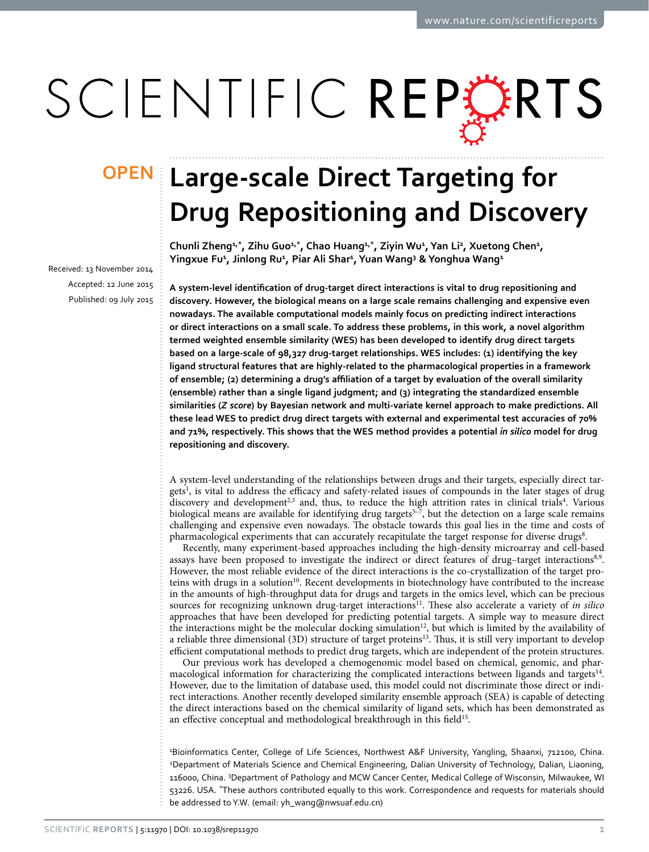# SCIENTIFIC REPERTS

Received: 13 November 2014 accepted: 12 June 2015 Published: 09 July 2015

## **Large-scale Direct Targeting for OPENDrug Repositioning and Discovery**

**Chunli Zheng1,\*, Zihu Guo1,\*, Chao Huang1,\*, Ziyin Wu1 , Yan Li2 , Xuetong Chen1 , Yingxue Fu1 , Jinlong Ru1 , Piar Ali Shar1 , Yuan Wang3 & Yonghua Wang1**

**A system-level identification of drug-target direct interactions is vital to drug repositioning and discovery. However, the biological means on a large scale remains challenging and expensive even nowadays. The available computational models mainly focus on predicting indirect interactions or direct interactions on a small scale. To address these problems, in this work, a novel algorithm termed weighted ensemble similarity (WES) has been developed to identify drug direct targets based on a large-scale of 98,327 drug-target relationships. WES includes: (1) identifying the key ligand structural features that are highly-related to the pharmacological properties in a framework of ensemble; (2) determining a drug's affiliation of a target by evaluation of the overall similarity (ensemble) rather than a single ligand judgment; and (3) integrating the standardized ensemble similarities (***Z score***) by Bayesian network and multi-variate kernel approach to make predictions. All these lead WES to predict drug direct targets with external and experimental test accuracies of 70% and 71%, respectively. This shows that the WES method provides a potential** *in silico* **model for drug repositioning and discovery.**

A system-level understanding of the relationships between drugs and their targets, especially direct targets<sup>1</sup>, is vital to address the efficacy and safety-related issues of compounds in the later stages of drug discovery and development<sup>[2](#page-8-1),3</sup> and, thus, to reduce the high attrition rates in clinical trials<sup>4</sup>. Various biological means are available for identifying drug targets<sup>5-7</sup>, but the detection on a large scale remains challenging and expensive even nowadays. The obstacle towards this goal lies in the time and costs of pharmacological experiments that can accurately recapitulate the target response for diverse drugs<sup>8</sup>.

Recently, many experiment-based approaches including the high-density microarray and cell-based assays have been proposed to investigate the indirect or direct features of drug–target interactions<sup>8,[9](#page-8-6)</sup>. However, the most reliable evidence of the direct interactions is the co-crystallization of the target proteins with drugs in a solution<sup>10</sup>. Recent developments in biotechnology have contributed to the increase in the amounts of high-throughput data for drugs and targets in the omics level, which can be precious sources for recognizing unknown drug-target interactions<sup>11</sup>. These also accelerate a variety of *in silico* approaches that have been developed for predicting potential targets. A simple way to measure direct the interactions might be the molecular docking simulation<sup>[12](#page-8-9)</sup>, but which is limited by the availability of a reliable three dimensional (3D) structure of target proteins<sup>13</sup>. Thus, it is still very important to develop efficient computational methods to predict drug targets, which are independent of the protein structures.

Our previous work has developed a chemogenomic model based on chemical, genomic, and phar-macological information for characterizing the complicated interactions between ligands and targets<sup>[14](#page-8-11)</sup>. However, due to the limitation of database used, this model could not discriminate those direct or indirect interactions. Another recently developed similarity ensemble approach (SEA) is capable of detecting the direct interactions based on the chemical similarity of ligand sets, which has been demonstrated as an effective conceptual and methodological breakthrough in this field<sup>15</sup>.

1 Bioinformatics Center, College of Life Sciences, Northwest A&F University, Yangling, Shaanxi, 712100, China. 2 Department of Materials Science and Chemical Engineering, Dalian University of Technology, Dalian, Liaoning, 116000, China. 3 Department of Pathology and MCW Cancer Center, Medical College of Wisconsin, Milwaukee, WI 53226. USA. \*These authors contributed equally to this work. Correspondence and requests for materials should be addressed to Y.W. (email: [yh\\_wang@nwsuaf.edu.cn\)](mailto:yh_wang@nwsuaf.edu.cn)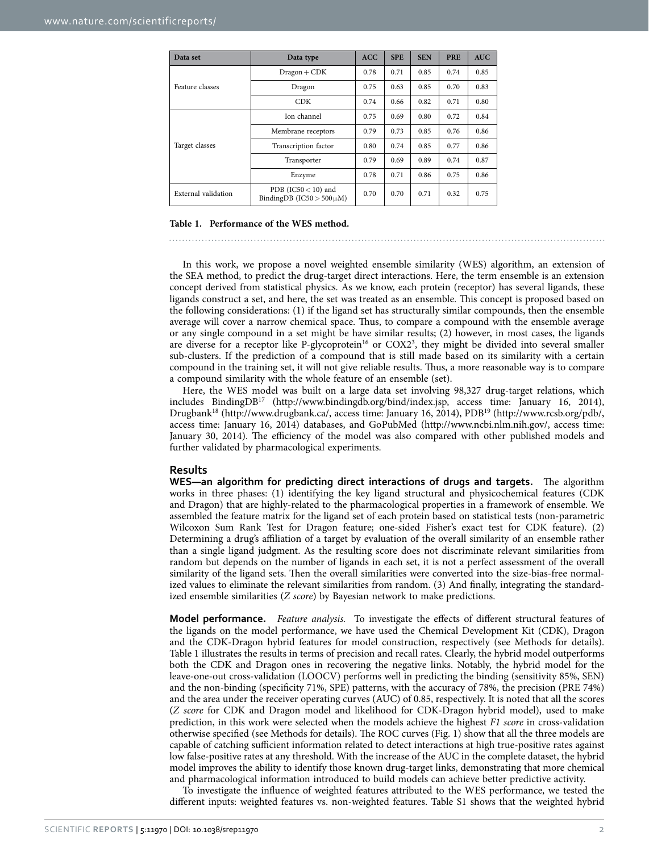<span id="page-1-0"></span>

| Data set                                                                         | Data type            |      | <b>SPE</b> | <b>SEN</b> | <b>PRE</b> | <b>AUC</b> |
|----------------------------------------------------------------------------------|----------------------|------|------------|------------|------------|------------|
|                                                                                  | $Dragon + CDK$       | 0.78 | 0.71       | 0.85       | 0.74       | 0.85       |
| Feature classes                                                                  | Dragon               | 0.75 | 0.63       | 0.85       | 0.70       | 0.83       |
|                                                                                  | <b>CDK</b>           | 0.74 | 0.66       | 0.82       | 0.71       | 0.80       |
|                                                                                  | Ion channel          | 0.75 | 0.69       | 0.80       | 0.72       | 0.84       |
|                                                                                  | Membrane receptors   | 0.79 | 0.73       | 0.85       | 0.76       | 0.86       |
| Target classes                                                                   | Transcription factor | 0.80 | 0.74       | 0.85       | 0.77       | 0.86       |
|                                                                                  | Transporter          | 0.79 | 0.69       | 0.89       | 0.74       | 0.87       |
|                                                                                  | Enzyme               | 0.78 | 0.71       | 0.86       | 0.75       | 0.86       |
| PDB (IC50 $<$ 10) and<br>External validation<br>BindingDB ( $IC50 > 500 \mu M$ ) |                      | 0.70 | 0.70       | 0.71       | 0.32       | 0.75       |

#### **Table 1. Performance of the WES method.**

In this work, we propose a novel weighted ensemble similarity (WES) algorithm, an extension of the SEA method, to predict the drug-target direct interactions. Here, the term ensemble is an extension concept derived from statistical physics. As we know, each protein (receptor) has several ligands, these ligands construct a set, and here, the set was treated as an ensemble. This concept is proposed based on the following considerations: (1) if the ligand set has structurally similar compounds, then the ensemble average will cover a narrow chemical space. Thus, to compare a compound with the ensemble average or any single compound in a set might be have similar results; (2) however, in most cases, the ligands are diverse for a receptor like P-glycoprotein<sup>16</sup> or COX2<sup>[3](#page-8-2)</sup>, they might be divided into several smaller sub-clusters. If the prediction of a compound that is still made based on its similarity with a certain compound in the training set, it will not give reliable results. Thus, a more reasonable way is to compare a compound similarity with the whole feature of an ensemble (set).

Here, the WES model was built on a large data set involving 98,327 drug-target relations, which includes BindingD[B17](#page-8-14) [\(http://www.bindingdb.org/bind/index.jsp](http://www.bindingdb.org/bind/index.jsp), access time: January 16, 2014), Drugbank[18](#page-8-15) [\(http://www.drugbank.ca/](http://www.drugbank.ca/), access time: January 16, 2014), PD[B19](#page-8-16) (<http://www.rcsb.org/pdb/>, access time: January 16, 2014) databases, and GoPubMed ([http://www.ncbi.nlm.nih.gov/,](http://www.ncbi.nlm.nih.gov/) access time: January 30, 2014). The efficiency of the model was also compared with other published models and further validated by pharmacological experiments.

#### **Results**

**WES—an algorithm for predicting direct interactions of drugs and targets.** The algorithm works in three phases: (1) identifying the key ligand structural and physicochemical features (CDK and Dragon) that are highly-related to the pharmacological properties in a framework of ensemble. We assembled the feature matrix for the ligand set of each protein based on statistical tests (non-parametric Wilcoxon Sum Rank Test for Dragon feature; one-sided Fisher's exact test for CDK feature). (2) Determining a drug's affiliation of a target by evaluation of the overall similarity of an ensemble rather than a single ligand judgment. As the resulting score does not discriminate relevant similarities from random but depends on the number of ligands in each set, it is not a perfect assessment of the overall similarity of the ligand sets. Then the overall similarities were converted into the size-bias-free normalized values to eliminate the relevant similarities from random. (3) And finally, integrating the standardized ensemble similarities (*Z score*) by Bayesian network to make predictions.

**Model performance.** *Feature analysis.* To investigate the effects of different structural features of the ligands on the model performance, we have used the Chemical Development Kit (CDK), Dragon and the CDK-Dragon hybrid features for model construction, respectively (see Methods for details). [Table 1](#page-1-0) illustrates the results in terms of precision and recall rates. Clearly, the hybrid model outperforms both the CDK and Dragon ones in recovering the negative links. Notably, the hybrid model for the leave-one-out cross-validation (LOOCV) performs well in predicting the binding (sensitivity 85%, SEN) and the non-binding (specificity 71%, SPE) patterns, with the accuracy of 78%, the precision (PRE 74%) and the area under the receiver operating curves (AUC) of 0.85, respectively. It is noted that all the scores (*Z score* for CDK and Dragon model and likelihood for CDK-Dragon hybrid model), used to make prediction, in this work were selected when the models achieve the highest *F1 score* in cross-validation otherwise specified (see Methods for details). The ROC curves [\(Fig. 1](#page-2-0)) show that all the three models are capable of catching sufficient information related to detect interactions at high true-positive rates against low false-positive rates at any threshold. With the increase of the AUC in the complete dataset, the hybrid model improves the ability to identify those known drug-target links, demonstrating that more chemical and pharmacological information introduced to build models can achieve better predictive activity.

To investigate the influence of weighted features attributed to the WES performance, we tested the different inputs: weighted features vs. non-weighted features. Table S1 shows that the weighted hybrid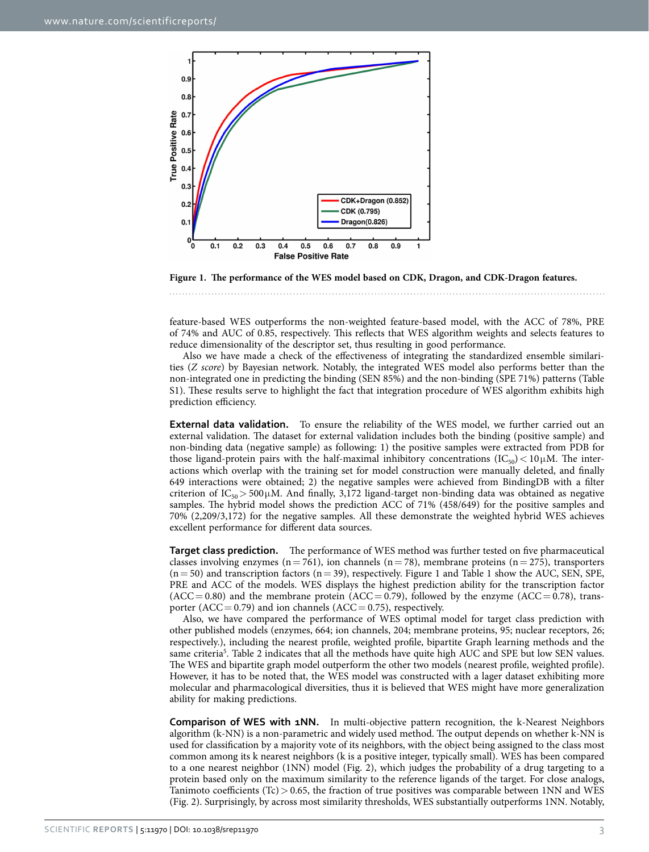

<span id="page-2-0"></span>**Figure 1. The performance of the WES model based on CDK, Dragon, and CDK-Dragon features.** 

feature-based WES outperforms the non-weighted feature-based model, with the ACC of 78%, PRE of 74% and AUC of 0.85, respectively. This reflects that WES algorithm weights and selects features to reduce dimensionality of the descriptor set, thus resulting in good performance.

Also we have made a check of the effectiveness of integrating the standardized ensemble similarities (*Z score*) by Bayesian network. Notably, the integrated WES model also performs better than the non-integrated one in predicting the binding (SEN 85%) and the non-binding (SPE 71%) patterns (Table S1). These results serve to highlight the fact that integration procedure of WES algorithm exhibits high prediction efficiency.

**External data validation.** To ensure the reliability of the WES model, we further carried out an external validation. The dataset for external validation includes both the binding (positive sample) and non-binding data (negative sample) as following: 1) the positive samples were extracted from PDB for those ligand-protein pairs with the half-maximal inhibitory concentrations ( $IC_{50}$ ) < 10 $\mu$ M. The interactions which overlap with the training set for model construction were manually deleted, and finally 649 interactions were obtained; 2) the negative samples were achieved from BindingDB with a filter criterion of  $IC_{50}$  > 500 $\mu$ M. And finally, 3,172 ligand-target non-binding data was obtained as negative samples. The hybrid model shows the prediction ACC of 71% (458/649) for the positive samples and 70% (2,209/3,172) for the negative samples. All these demonstrate the weighted hybrid WES achieves excellent performance for different data sources.

**Target class prediction.** The performance of WES method was further tested on five pharmaceutical classes involving enzymes (n= 761), ion channels (n= 78), membrane proteins (n= 275), transporters  $(n= 50)$  and transcription factors  $(n= 39)$ , respectively. [Figure 1](#page-2-0) and [Table 1](#page-1-0) show the AUC, SEN, SPE, PRE and ACC of the models. WES displays the highest prediction ability for the transcription factor  $(ACC = 0.80)$  and the membrane protein  $(ACC = 0.79)$ , followed by the enzyme  $(ACC = 0.78)$ , transporter (ACC = 0.79) and ion channels (ACC = 0.75), respectively.

Also, we have compared the performance of WES optimal model for target class prediction with other published models (enzymes, 664; ion channels, 204; membrane proteins, 95; nuclear receptors, 26; respectively.), including the nearest profile, weighted profile, bipartite Graph learning methods and the same criteria<sup>[5](#page-8-4)</sup>. [Table 2](#page-3-0) indicates that all the methods have quite high AUC and SPE but low SEN values. The WES and bipartite graph model outperform the other two models (nearest profile, weighted profile). However, it has to be noted that, the WES model was constructed with a lager dataset exhibiting more molecular and pharmacological diversities, thus it is believed that WES might have more generalization ability for making predictions.

**Comparison of WES with 1NN.** In multi-objective pattern recognition, the k-Nearest Neighbors algorithm (k-NN) is a non-parametric and widely used method. The output depends on whether k-NN is used for classification by a majority vote of its neighbors, with the object being assigned to the class most common among its k nearest neighbors (k is a positive integer, typically small). WES has been compared to a one nearest neighbor (1NN) model [\(Fig. 2](#page-3-1)), which judges the probability of a drug targeting to a protein based only on the maximum similarity to the reference ligands of the target. For close analogs, Tanimoto coefficients (Tc)  $> 0.65$ , the fraction of true positives was comparable between 1NN and WES ([Fig. 2](#page-3-1)). Surprisingly, by across most similarity thresholds, WES substantially outperforms 1NN. Notably,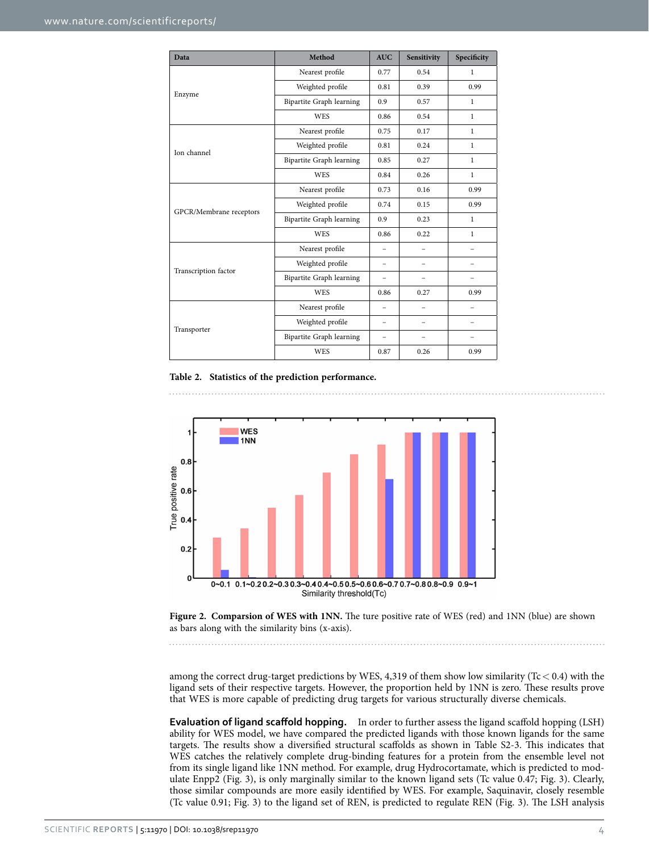<span id="page-3-0"></span>

| Data                    | Method                          | <b>AUC</b>               | Sensitivity | Specificity  |  |
|-------------------------|---------------------------------|--------------------------|-------------|--------------|--|
|                         | Nearest profile                 | 0.77                     | 0.54        | $\mathbf{1}$ |  |
| Enzyme                  | Weighted profile                | 0.81                     | 0.39        | 0.99         |  |
|                         | <b>Bipartite Graph learning</b> | 0.9                      | 0.57        | $\mathbf{1}$ |  |
|                         | <b>WES</b>                      | 0.86                     | 0.54        | $\mathbf{1}$ |  |
|                         | Nearest profile                 | 0.75                     | 0.17        | $\mathbf{1}$ |  |
| Ion channel             | Weighted profile                | 0.81                     | 0.24        | $\mathbf{1}$ |  |
|                         | Bipartite Graph learning        | 0.85                     | 0.27        | $\mathbf{1}$ |  |
|                         | <b>WES</b>                      | 0.84                     | 0.26        | $\mathbf{1}$ |  |
|                         | Nearest profile                 | 0.73                     | 0.16        | 0.99         |  |
|                         | Weighted profile                | 0.74                     | 0.15        | 0.99         |  |
| GPCR/Membrane receptors | <b>Bipartite Graph learning</b> | 0.9                      | 0.23        | $\mathbf{1}$ |  |
|                         | <b>WES</b>                      | 0.86                     | 0.22        | $\mathbf{1}$ |  |
|                         | Nearest profile                 | $\overline{\phantom{0}}$ | -           | -            |  |
| Transcription factor    | Weighted profile                | $\equiv$                 |             |              |  |
|                         | Bipartite Graph learning        |                          |             |              |  |
|                         | WES                             | 0.86                     | 0.27        | 0.99         |  |
|                         | Nearest profile                 | -                        | -           | -            |  |
|                         | Weighted profile                | -                        | -           | -            |  |
| Transporter             | Bipartite Graph learning        | $\overline{\phantom{0}}$ |             |              |  |
|                         | <b>WES</b>                      | 0.87                     | 0.26        | 0.99         |  |

#### **Table 2. Statistics of the prediction performance.**



<span id="page-3-1"></span>**Figure 2. Comparsion of WES with 1NN.** The ture positive rate of WES (red) and 1NN (blue) are shown as bars along with the similarity bins (x-axis).

among the correct drug-target predictions by WES, 4,319 of them show low similarity (Tc  $<$  0.4) with the ligand sets of their respective targets. However, the proportion held by 1NN is zero. These results prove that WES is more capable of predicting drug targets for various structurally diverse chemicals.

**Evaluation of ligand scaffold hopping.** In order to further assess the ligand scaffold hopping (LSH) ability for WES model, we have compared the predicted ligands with those known ligands for the same targets. The results show a diversified structural scaffolds as shown in Table S2-3. This indicates that WES catches the relatively complete drug-binding features for a protein from the ensemble level not from its single ligand like 1NN method. For example, drug Hydrocortamate, which is predicted to modulate Enpp2 ([Fig. 3\)](#page-4-0), is only marginally similar to the known ligand sets (Tc value 0.47; [Fig. 3\)](#page-4-0). Clearly, those similar compounds are more easily identified by WES. For example, Saquinavir, closely resemble (Tc value 0.91; [Fig. 3](#page-4-0)) to the ligand set of REN, is predicted to regulate REN [\(Fig. 3\)](#page-4-0). The LSH analysis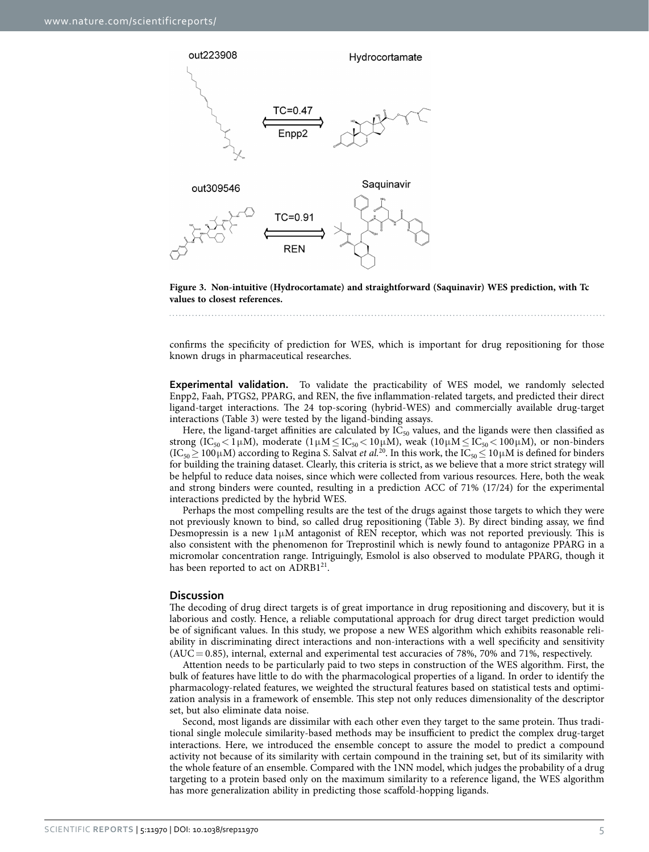

<span id="page-4-0"></span>**Figure 3. Non-intuitive (Hydrocortamate) and straightforward (Saquinavir) WES prediction, with Tc values to closest references.** 

confirms the specificity of prediction for WES, which is important for drug repositioning for those known drugs in pharmaceutical researches.

**Experimental validation.** To validate the practicability of WES model, we randomly selected Enpp2, Faah, PTGS2, PPARG, and REN, the five inflammation-related targets, and predicted their direct ligand-target interactions. The 24 top-scoring (hybrid-WES) and commercially available drug-target interactions ([Table 3](#page-5-0)) were tested by the ligand-binding assays.

Here, the ligand-target affinities are calculated by  $I\overline{C}_{50}$  values, and the ligands were then classified as strong (IC<sub>50</sub> < 1µM), moderate (1µM ≤ IC<sub>50</sub> < 10µM), weak (10µM ≤ IC<sub>50</sub> < 100µM), or non-binders  $(IC_{50} \ge 100 \,\mu M)$  according to Regina S. Salvat *et al.*<sup>20</sup>. In this work, the  $IC_{50} \le 10 \,\mu M$  is defined for binders for building the training dataset. Clearly, this criteria is strict, as we believe that a more strict strategy will be helpful to reduce data noises, since which were collected from various resources. Here, both the weak and strong binders were counted, resulting in a prediction ACC of 71% (17/24) for the experimental interactions predicted by the hybrid WES.

Perhaps the most compelling results are the test of the drugs against those targets to which they were not previously known to bind, so called drug repositioning [\(Table 3\)](#page-5-0). By direct binding assay, we find Desmopressin is a new  $1\mu$ M antagonist of REN receptor, which was not reported previously. This is also consistent with the phenomenon for Treprostinil which is newly found to antagonize PPARG in a micromolar concentration range. Intriguingly, Esmolol is also observed to modulate PPARG, though it has been reported to act on ADRB1<sup>21</sup>.

#### **Discussion**

The decoding of drug direct targets is of great importance in drug repositioning and discovery, but it is laborious and costly. Hence, a reliable computational approach for drug direct target prediction would be of significant values. In this study, we propose a new WES algorithm which exhibits reasonable reliability in discriminating direct interactions and non-interactions with a well specificity and sensitivity  $(AUC = 0.85)$ , internal, external and experimental test accuracies of 78%, 70% and 71%, respectively.

Attention needs to be particularly paid to two steps in construction of the WES algorithm. First, the bulk of features have little to do with the pharmacological properties of a ligand. In order to identify the pharmacology-related features, we weighted the structural features based on statistical tests and optimization analysis in a framework of ensemble. This step not only reduces dimensionality of the descriptor set, but also eliminate data noise.

Second, most ligands are dissimilar with each other even they target to the same protein. Thus traditional single molecule similarity-based methods may be insufficient to predict the complex drug-target interactions. Here, we introduced the ensemble concept to assure the model to predict a compound activity not because of its similarity with certain compound in the training set, but of its similarity with the whole feature of an ensemble. Compared with the 1NN model, which judges the probability of a drug targeting to a protein based only on the maximum similarity to a reference ligand, the WES algorithm has more generalization ability in predicting those scaffold-hopping ligands.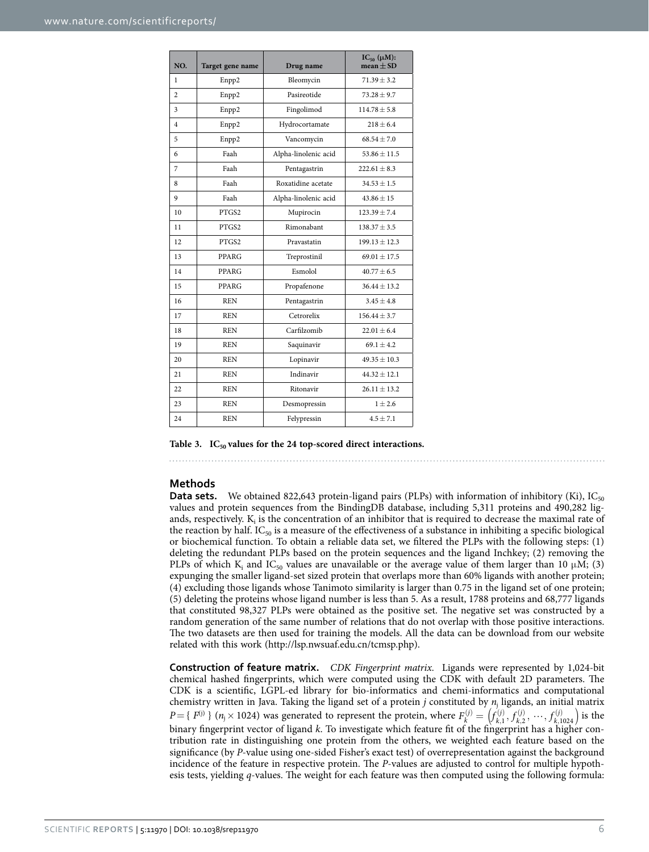<span id="page-5-0"></span>

| NO.            | Target gene name | Drug name            | $IC_{50} (\mu M)$ :<br>$mean \pm SD$ |
|----------------|------------------|----------------------|--------------------------------------|
| 1              | Enpp2            | Bleomycin            | $71.39 \pm 3.2$                      |
| $\overline{2}$ | Enpp2            | Pasireotide          | $73.28 \pm 9.7$                      |
| 3              | Enpp2            | Fingolimod           | $114.78 \pm 5.8$                     |
| $\overline{4}$ | Enpp2            | Hydrocortamate       | $218 + 6.4$                          |
| 5              | Enpp2            | Vancomycin           | $68.54 \pm 7.0$                      |
| 6              | Faah             | Alpha-linolenic acid | $53.86 \pm 11.5$                     |
| 7              | Faah             | Pentagastrin         | $222.61 \pm 8.3$                     |
| 8              | Faah             | Roxatidine acetate   | $34.53 \pm 1.5$                      |
| 9              | Faah             | Alpha-linolenic acid | $43.86 \pm 15$                       |
| 10             | PTGS2            | Mupirocin            | $123.39 \pm 7.4$                     |
| 11             | PTGS2            | Rimonabant           | $138.37 \pm 3.5$                     |
| 12             | PTGS2            | Pravastatin          | $199.13 \pm 12.3$                    |
| 13             | <b>PPARG</b>     | Treprostinil         | $69.01 \pm 17.5$                     |
| 14             | <b>PPARG</b>     | Esmolol              | $40.77 \pm 6.5$                      |
| 15             | PPARG            | Propafenone          | $36.44 \pm 13.2$                     |
| 16             | <b>REN</b>       | Pentagastrin         | $3.45 \pm 4.8$                       |
| 17             | <b>REN</b>       | Cetrorelix           | $156.44 + 3.7$                       |
| 18             | <b>REN</b>       | Carfilzomib          | $22.01 \pm 6.4$                      |
| 19             | <b>REN</b>       | Saquinavir           | $69.1 \pm 4.2$                       |
| 20             | <b>REN</b>       | Lopinavir            | $49.35 \pm 10.3$                     |
| 21             | <b>REN</b>       | Indinavir            | $44.32 \pm 12.1$                     |
| 22             | <b>REN</b>       | Ritonavir            | $26.11 \pm 13.2$                     |
| 23             | <b>REN</b>       | Desmopressin         | $1 + 2.6$                            |
| 24             | <b>REN</b>       | Felypressin          | $4.5 \pm 7.1$                        |

Table 3. IC<sub>50</sub> values for the 24 top-scored direct interactions.

### **Methods**

**Data sets.** We obtained 822,643 protein-ligand pairs (PLPs) with information of inhibitory (Ki), IC<sub>50</sub> values and protein sequences from the BindingDB database, including 5,311 proteins and 490,282 ligands, respectively.  $K_i$  is the concentration of an inhibitor that is required to decrease the maximal rate of the reaction by half. IC $_{50}$  is a measure of the effectiveness of a substance in inhibiting a specific biological or biochemical function. To obtain a reliable data set, we filtered the PLPs with the following steps: (1) deleting the redundant PLPs based on the protein sequences and the ligand Inchkey; (2) removing the PLPs of which  $K_i$  and IC<sub>50</sub> values are unavailable or the average value of them larger than 10  $\mu$ M; (3) expunging the smaller ligand-set sized protein that overlaps more than 60% ligands with another protein; (4) excluding those ligands whose Tanimoto similarity is larger than 0.75 in the ligand set of one protein; (5) deleting the proteins whose ligand number is less than 5. As a result, 1788 proteins and 68,777 ligands that constituted 98,327 PLPs were obtained as the positive set. The negative set was constructed by a random generation of the same number of relations that do not overlap with those positive interactions. The two datasets are then used for training the models. All the data can be download from our website related with this work [\(http://lsp.nwsuaf.edu.cn/tcmsp.php](http://nothacked_1017.tcmspw.com/tcmsp.php)).

**Construction of feature matrix.** *CDK Fingerprint matrix.* Ligands were represented by 1,024-bit chemical hashed fingerprints, which were computed using the CDK with default 2D parameters. The CDK is a scientific, LGPL-ed library for bio-informatics and chemi-informatics and computational chemistry written in Java. Taking the ligand set of a protein *j* constituted by *n*<sup>j</sup> ligands, an initial matrix  $P = \{ F^{(j)} \}$  ( $n_j \times 1024$ ) was generated to represent the protein, where  $F_k^{(j)} = \left( f_{k,1}^{(j)}, f_{k,2}^{(j)}, \dots, f_{k,1024}^{(j)} \right)$  $\cdot$ (*j*) ,  $F_k^{(j)} = \left( f_{k,1}^{(j)}, f_{k,2}^{(j)}, \dots, f_{k,1}^{(j)} \right)$ *k j k j k*  $f_{k,1}^{(j)}, f_{k,2}^{(j)}, \dots, f_{k,1024}^{(j)}$  is the binary fingerprint vector of ligand *k*. To investigate which feature fit of the fingerprint has a higher contribution rate in distinguishing one protein from the others, we weighted each feature based on the significance (by *P*-value using one-sided Fisher's exact test) of overrepresentation against the background incidence of the feature in respective protein. The *P*-values are adjusted to control for multiple hypothesis tests, yielding *q*-values. The weight for each feature was then computed using the following formula: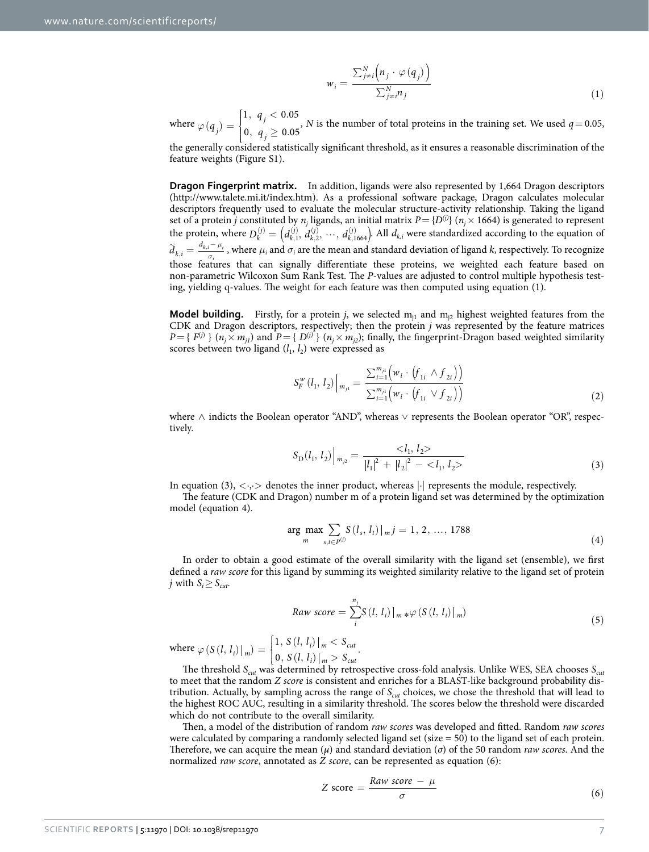$$
w_i = \frac{\sum_{j=i}^{N} \left( n_j \cdot \varphi(q_j) \right)}{\sum_{j=i}^{N} n_j}
$$
\n(1)

where  $\varphi(q_i) =$  $\sqrt{ }$  $\left\{ \right\}$ J  $\overline{\mathcal{L}}$  $, q_{i} < 0.$  $(q_j) = \begin{cases} 0, & j \ 0, & q_j \geq 0. \end{cases}$ *q q*  $1, q_i < 0.05$  $j'$  | 0,  $q_i \ge 0.05$ *j j* , *N* is the number of total proteins in the training set. We used  $q = 0.05$ ,

the generally considered statistically significant threshold, as it ensures a reasonable discrimination of the feature weights (Figure S1).

**Dragon Fingerprint matrix.** In addition, ligands were also represented by 1,664 Dragon descriptors ([http://www.talete.mi.it/index.htm\)](http://www.talete.mi.it/index.htm). As a professional software package, Dragon calculates molecular descriptors frequently used to evaluate the molecular structure-activity relationship. Taking the ligand set of a protein *j* constituted by  $n_j$  ligands, an initial matrix  $P = \{D^{(j)}\}$  ( $n_j \times 1664$ ) is generated to represent the protein, where  $D_k^{(j)} = (d_{k,1}^{(j)}, d_{k,2}^{(j)}, \cdots, d_{k,1664}^{(j)})$ . All  $d_{k,i}$  were standardized according to the equation of  $\widetilde{d}_{k,i} = \frac{d_{k,i} - \mu_i}{\sigma_i}$  $\frac{\mu_i}{\mu_i}$ , where  $\mu_i$  and  $\sigma_i$  are the mean and standard deviation of ligand *k*, respectively. To recognize those features that can signally differentiate these proteins, we weighted each feature based on non-parametric Wilcoxon Sum Rank Test. The *P*-values are adjusted to control multiple hypothesis testing, yielding q-values. The weight for each feature was then computed using equation (1).

**Model building.** Firstly, for a protein *j*, we selected  $m_{i1}$  and  $m_{i2}$  highest weighted features from the CDK and Dragon descriptors, respectively; then the protein *j* was represented by the feature matrices  $P = \{ F^{(j)} \mid (n_j \times m_{j1}) \text{ and } P = \{ D^{(j)} \} \ (n_j \times m_{j2})$ ; finally, the fingerprint-Dragon based weighted similarity scores between two ligand  $(l_1, l_2)$  were expressed as

$$
S_F^{\mathbf{w}}(l_1, l_2) \Big|_{m_{j1}} = \frac{\sum_{i=1}^{m_{j1}} \Big( w_i \cdot \Big( f_{1i} \wedge f_{2i} \Big) \Big)}{\sum_{i=1}^{m_{j1}} \Big( w_i \cdot \Big( f_{1i} \vee f_{2i} \Big) \Big)}
$$
(2)

where ∧ indicts the Boolean operator "AND", whereas ∨ represents the Boolean operator "OR", respectively.

$$
S_{\text{D}}(l_1, l_2) \Big|_{m_{j2}} = \frac{}{|l_1|^2 + |l_2|^2 - }
$$
\n(3)

In equation (3),  $\langle \cdot, \cdot \rangle$  denotes the inner product, whereas  $|\cdot|$  represents the module, respectively.

The feature (CDK and Dragon) number m of a protein ligand set was determined by the optimization model (equation 4).

$$
\underset{m}{\text{arg max}} \sum_{s, t \in P^{(j)}} S(l_s, l_t) \big| \, m \, j = 1, \, 2, \, \dots, \, 1788 \tag{4}
$$

In order to obtain a good estimate of the overall similarity with the ligand set (ensemble), we first defined a *raw score* for this ligand by summing its weighted similarity relative to the ligand set of protein *j* with  $S_i \geq S_{cut}$ .

$$
Raw score = \sum_{i}^{n_j} S(l, l_i) \big|_{m \ast} \varphi \left( S(l, l_i) \big|_{m} \right) \tag{5}
$$

where  $\varphi(S(l, l_i) \big|_m) = \begin{cases}$  $\bigg\}$  $\overline{\mathcal{L}}$ ,  $S(l, l_i) \big|_m <$  $S(l, l_i)|_m$  =  $\begin{cases} 1, S(l, l_i)|_m < S_{cut} \\ 0, S(l, l_i)|_m > S_{cut}. \end{cases}$ 1  $\mathbf{a}_{i}(t) \mid m$  =  $\begin{cases} 1, 5 \ (i, t_i) \mid m \leq 5 \ \ 0, 5 \ (l, t_i) \mid m > 5 \ \ \text{and} \end{cases}$  $i / |m - c$ 

The threshold *Scut* was determined by retrospective cross-fold analysis. Unlike WES, SEA chooses *Scut* to meet that the random *Z score* is consistent and enriches for a BLAST-like background probability distribution. Actually, by sampling across the range of *S<sub>cut</sub>* choices, we chose the threshold that will lead to the highest ROC AUC, resulting in a similarity threshold. The scores below the threshold were discarded which do not contribute to the overall similarity.

Then, a model of the distribution of random *raw scores* was developed and fitted. Random *raw scores* were calculated by comparing a randomly selected ligand set (size = 50) to the ligand set of each protein. Therefore, we can acquire the mean (*μ*) and standard deviation (*σ*) of the 50 random *raw scores*. And the normalized *raw score*, annotated as *Z score*, can be represented as equation (6):

$$
Z \text{ score} = \frac{Raw score - \mu}{\sigma} \tag{6}
$$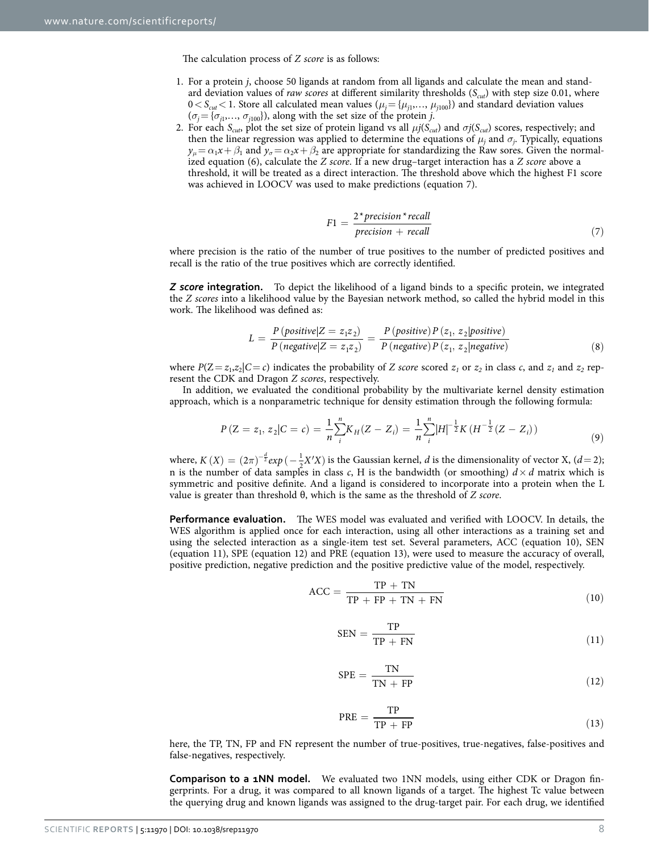The calculation process of *Z score* is as follows:

- 1. For a protein *j*, choose 50 ligands at random from all ligands and calculate the mean and standard deviation values of *raw scores* at different similarity thresholds (*Scut*) with step size 0.01, where  $0 < S_{cut} < 1$ . Store all calculated mean values ( $\mu_j = {\mu_{j1}, \dots, \mu_{j100}}$ ) and standard deviation values  $(\sigma_j = {\sigma_{j1}, \ldots, \sigma_{j100}})$ , along with the set size of the protein *j*.
- 2. For each  $S_{\text{cut}}$ , plot the set size of protein ligand vs all  $\mu j(S_{\text{cut}})$  and  $\sigma j(S_{\text{cut}})$  scores, respectively; and then the linear regression was applied to determine the equations of  $\mu_j$  and  $\sigma_j$ . Typically, equations  $y_{\mu} = \alpha_1 x + \beta_1$  and  $y_{\sigma} = \alpha_2 x + \beta_2$  are appropriate for standardizing the Raw sores. Given the normalized equation (6), calculate the *Z score*. If a new drug–target interaction has a *Z score* above a threshold, it will be treated as a direct interaction. The threshold above which the highest F1 score was achieved in LOOCV was used to make predictions (equation 7).

$$
F1 = \frac{2 \cdot precision \cdot recall}{precision + recall}
$$
 (7)

where precision is the ratio of the number of true positives to the number of predicted positives and recall is the ratio of the true positives which are correctly identified.

*Z score* **integration.** To depict the likelihood of a ligand binds to a specific protein, we integrated the *Z scores* into a likelihood value by the Bayesian network method, so called the hybrid model in this work. The likelihood was defined as:

$$
L = \frac{P\left(\text{positive} | Z = z_1 z_2\right)}{P\left(\text{negative} | Z = z_1 z_2\right)} = \frac{P\left(\text{positive}\right) P\left(z_1, z_2 | \text{positive}\right)}{P\left(\text{negative}\right) P\left(z_1, z_2 | \text{negative}\right)}\tag{8}
$$

where  $P(Z = z_1, z_2|C = c)$  indicates the probability of *Z* score scored  $z_1$  or  $z_2$  in class *c*, and  $z_1$  and  $z_2$  represent the CDK and Dragon *Z scores*, respectively.

In addition, we evaluated the conditional probability by the multivariate kernel density estimation approach, which is a nonparametric technique for density estimation through the following formula:

$$
P(Z = z_1, z_2 | C = c) = \frac{1}{n} \sum_{i=1}^{n} K_H(Z - Z_i) = \frac{1}{n} \sum_{i=1}^{n} |H|^{-\frac{1}{2}} K (H^{-\frac{1}{2}} (Z - Z_i))
$$
\n(9)

where,  $K(X) = (2\pi)^{-\frac{d}{2}} exp(-\frac{1}{2}X'X)$  is the Gaussian kernel, *d* is the dimensionality of vector X, (*d* = 2); n is the number of data samples in class *c*, H is the bandwidth (or smoothing)  $\vec{d} \times \vec{d}$  matrix which is symmetric and positive definite. And a ligand is considered to incorporate into a protein when the L value is greater than threshold θ, which is the same as the threshold of *Z score*.

**Performance evaluation.** The WES model was evaluated and verified with LOOCV. In details, the WES algorithm is applied once for each interaction, using all other interactions as a training set and using the selected interaction as a single-item test set. Several parameters, ACC (equation 10), SEN (equation 11), SPE (equation 12) and PRE (equation 13), were used to measure the accuracy of overall, positive prediction, negative prediction and the positive predictive value of the model, respectively.

$$
ACC = \frac{TP + TN}{TP + FP + TN + FN}
$$
\n(10)

$$
SEN = \frac{TP}{TP + FN}
$$
 (11)

$$
SPE = \frac{TN}{TN + FP}
$$
 (12)

$$
PRE = \frac{TP}{TP + FP}
$$
 (13)

here, the TP, TN, FP and FN represent the number of true-positives, true-negatives, false-positives and false-negatives, respectively.

**Comparison to a 1NN model.** We evaluated two 1NN models, using either CDK or Dragon fingerprints. For a drug, it was compared to all known ligands of a target. The highest Tc value between the querying drug and known ligands was assigned to the drug-target pair. For each drug, we identified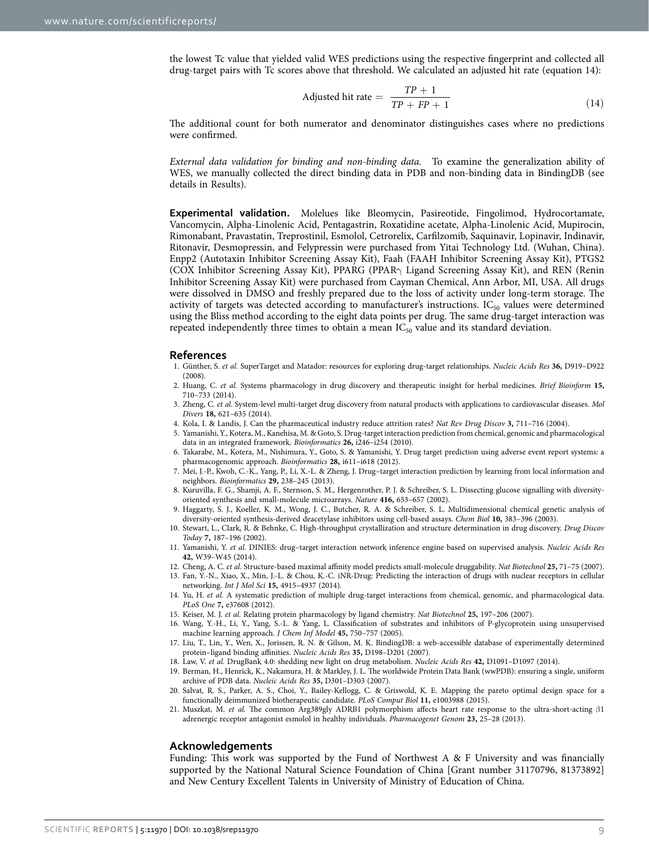the lowest Tc value that yielded valid WES predictions using the respective fingerprint and collected all drug-target pairs with Tc scores above that threshold. We calculated an adjusted hit rate (equation 14):

$$
Adjusted hit rate = \frac{TP + 1}{TP + FP + 1}
$$
\n(14)

The additional count for both numerator and denominator distinguishes cases where no predictions were confirmed.

*External data validation for binding and non-binding data.* To examine the generalization ability of WES, we manually collected the direct binding data in PDB and non-binding data in BindingDB (see details in Results).

**Experimental validation.** Molelues like Bleomycin, Pasireotide, Fingolimod, Hydrocortamate, Vancomycin, Alpha-Linolenic Acid, Pentagastrin, Roxatidine acetate, Alpha-Linolenic Acid, Mupirocin, Rimonabant, Pravastatin, Treprostinil, Esmolol, Cetrorelix, Carfilzomib, Saquinavir, Lopinavir, Indinavir, Ritonavir, Desmopressin, and Felypressin were purchased from Yitai Technology Ltd. (Wuhan, China). Enpp2 (Autotaxin Inhibitor Screening Assay Kit), Faah (FAAH Inhibitor Screening Assay Kit), PTGS2 (COX Inhibitor Screening Assay Kit), PPARG (PPARγ Ligand Screening Assay Kit), and REN (Renin Inhibitor Screening Assay Kit) were purchased from Cayman Chemical, Ann Arbor, MI, USA. All drugs were dissolved in DMSO and freshly prepared due to the loss of activity under long-term storage. The activity of targets was detected according to manufacturer's instructions.  $IC_{50}$  values were determined using the Bliss method according to the eight data points per drug. The same drug-target interaction was repeated independently three times to obtain a mean  $IC_{50}$  value and its standard deviation.

#### **References**

- <span id="page-8-0"></span>1. Günther, S. *et al.* SuperTarget and Matador: resources for exploring drug-target relationships. *Nucleic Acids Res* **36,** D919–D922 (2008).
- <span id="page-8-1"></span>2. Huang, C. *et al.* Systems pharmacology in drug discovery and therapeutic insight for herbal medicines. *Brief Bioinform* **15,** 710–733 (2014).
- <span id="page-8-2"></span>3. Zheng, C. *et al.* System-level multi-target drug discovery from natural products with applications to cardiovascular diseases. *Mol Divers* **18,** 621–635 (2014).
- <span id="page-8-3"></span>4. Kola, I. & Landis, J. Can the pharmaceutical industry reduce attrition rates? *Nat Rev Drug Discov* **3,** 711–716 (2004).
- <span id="page-8-4"></span>5. Yamanishi, Y., Kotera, M., Kanehisa, M. & Goto, S. Drug-target interaction prediction from chemical, genomic and pharmacological data in an integrated framework. *Bioinformatics* **26,** i246–i254 (2010).
- 6. Takarabe, M., Kotera, M., Nishimura, Y., Goto, S. & Yamanishi, Y. Drug target prediction using adverse event report systems: a pharmacogenomic approach. *Bioinformatics* **28,** i611–i618 (2012).
- 7. Mei, J.-P., Kwoh, C.-K., Yang, P., Li, X.-L. & Zheng, J. Drug–target interaction prediction by learning from local information and neighbors. *Bioinformatics* **29,** 238–245 (2013).
- <span id="page-8-5"></span>8. Kuruvilla, F. G., Shamji, A. F., Sternson, S. M., Hergenrother, P. J. & Schreiber, S. L. Dissecting glucose signalling with diversityoriented synthesis and small-molecule microarrays. *Nature* **416,** 653–657 (2002).
- <span id="page-8-6"></span>9. Haggarty, S. J., Koeller, K. M., Wong, J. C., Butcher, R. A. & Schreiber, S. L. Multidimensional chemical genetic analysis of diversity-oriented synthesis-derived deacetylase inhibitors using cell-based assays. *Chem Biol* **10,** 383–396 (2003).
- <span id="page-8-7"></span>10. Stewart, L., Clark, R. & Behnke, C. High-throughput crystallization and structure determination in drug discovery. *Drug Discov Today* **7,** 187–196 (2002).
- <span id="page-8-8"></span>11. Yamanishi, Y. *et al.* DINIES: drug–target interaction network inference engine based on supervised analysis. *Nucleic Acids Res* **42,** W39–W45 (2014).
- <span id="page-8-10"></span><span id="page-8-9"></span>12. Cheng, A. C. *et al.* Structure-based maximal affinity model predicts small-molecule druggability. *Nat Biotechnol* **25,** 71–75 (2007).
- 13. Fan, Y.-N., Xiao, X., Min, J.-L. & Chou, K.-C. iNR-Drug: Predicting the interaction of drugs with nuclear receptors in cellular networking. *Int J Mol Sci* **15,** 4915–4937 (2014).
- <span id="page-8-11"></span>14. Yu, H. *et al.* A systematic prediction of multiple drug-target interactions from chemical, genomic, and pharmacological data. *PLoS One* **7,** e37608 (2012).
- <span id="page-8-13"></span><span id="page-8-12"></span>15. Keiser, M. J. *et al.* Relating protein pharmacology by ligand chemistry. *Nat Biotechnol* **25,** 197–206 (2007).
- 16. Wang, Y.-H., Li, Y., Yang, S.-L. & Yang, L. Classification of substrates and inhibitors of P-glycoprotein using unsupervised machine learning approach. *J Chem Inf Model* **45,** 750–757 (2005).
- <span id="page-8-14"></span>17. Liu, T., Lin, Y., Wen, X., Jorissen, R. N. & Gilson, M. K. BindingDB: a web-accessible database of experimentally determined protein–ligand binding affinities. *Nucleic Acids Res* **35,** D198–D201 (2007).
- <span id="page-8-15"></span>18. Law, V. *et al.* DrugBank 4.0: shedding new light on drug metabolism. *Nucleic Acids Res* **42,** D1091–D1097 (2014).
- <span id="page-8-16"></span>19. Berman, H., Henrick, K., Nakamura, H. & Markley, J. L. The worldwide Protein Data Bank (wwPDB): ensuring a single, uniform archive of PDB data. *Nucleic Acids Res* **35,** D301–D303 (2007).
- <span id="page-8-17"></span>20. Salvat, R. S., Parker, A. S., Choi, Y., Bailey-Kellogg, C. & Griswold, K. E. Mapping the pareto optimal design space for a functionally deimmunized biotherapeutic candidate. *PLoS Comput Biol* **11,** e1003988 (2015).
- <span id="page-8-18"></span>21. Muszkat, M. *et al.* The common Arg389gly ADRB1 polymorphism affects heart rate response to the ultra-short-acting β1 adrenergic receptor antagonist esmolol in healthy individuals. *Pharmacogenet Genom* **23,** 25–28 (2013).

#### **Acknowledgements**

Funding: This work was supported by the Fund of Northwest A & F University and was financially supported by the National Natural Science Foundation of China [Grant number 31170796, 81373892] and New Century Excellent Talents in University of Ministry of Education of China.